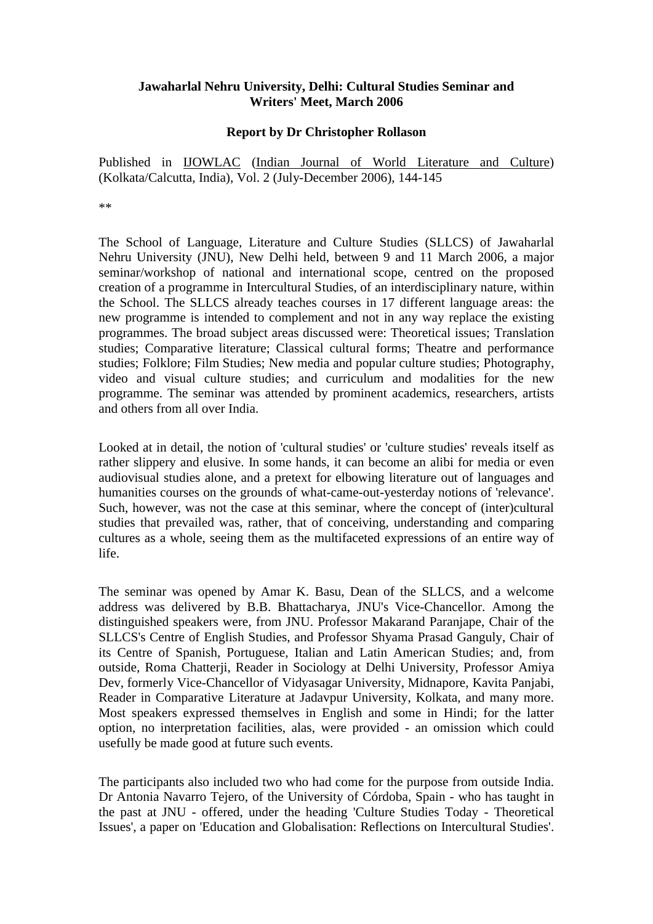## **Jawaharlal Nehru University, Delhi: Cultural Studies Seminar and Writers' Meet, March 2006**

## **Report by Dr Christopher Rollason**

Published in IJOWLAC (Indian Journal of World Literature and Culture) (Kolkata/Calcutta, India), Vol. 2 (July-December 2006), 144-145

\*\*

The School of Language, Literature and Culture Studies (SLLCS) of Jawaharlal Nehru University (JNU), New Delhi held, between 9 and 11 March 2006, a major seminar/workshop of national and international scope, centred on the proposed creation of a programme in Intercultural Studies, of an interdisciplinary nature, within the School. The SLLCS already teaches courses in 17 different language areas: the new programme is intended to complement and not in any way replace the existing programmes. The broad subject areas discussed were: Theoretical issues; Translation studies; Comparative literature; Classical cultural forms; Theatre and performance studies; Folklore; Film Studies; New media and popular culture studies; Photography, video and visual culture studies; and curriculum and modalities for the new programme. The seminar was attended by prominent academics, researchers, artists and others from all over India.

Looked at in detail, the notion of 'cultural studies' or 'culture studies' reveals itself as rather slippery and elusive. In some hands, it can become an alibi for media or even audiovisual studies alone, and a pretext for elbowing literature out of languages and humanities courses on the grounds of what-came-out-yesterday notions of 'relevance'. Such, however, was not the case at this seminar, where the concept of (inter)cultural studies that prevailed was, rather, that of conceiving, understanding and comparing cultures as a whole, seeing them as the multifaceted expressions of an entire way of life.

The seminar was opened by Amar K. Basu, Dean of the SLLCS, and a welcome address was delivered by B.B. Bhattacharya, JNU's Vice-Chancellor. Among the distinguished speakers were, from JNU. Professor Makarand Paranjape, Chair of the SLLCS's Centre of English Studies, and Professor Shyama Prasad Ganguly, Chair of its Centre of Spanish, Portuguese, Italian and Latin American Studies; and, from outside, Roma Chatterji, Reader in Sociology at Delhi University, Professor Amiya Dev, formerly Vice-Chancellor of Vidyasagar University, Midnapore, Kavita Panjabi, Reader in Comparative Literature at Jadavpur University, Kolkata, and many more. Most speakers expressed themselves in English and some in Hindi; for the latter option, no interpretation facilities, alas, were provided - an omission which could usefully be made good at future such events.

The participants also included two who had come for the purpose from outside India. Dr Antonia Navarro Tejero, of the University of Córdoba, Spain - who has taught in the past at JNU - offered, under the heading 'Culture Studies Today - Theoretical Issues', a paper on 'Education and Globalisation: Reflections on Intercultural Studies'.